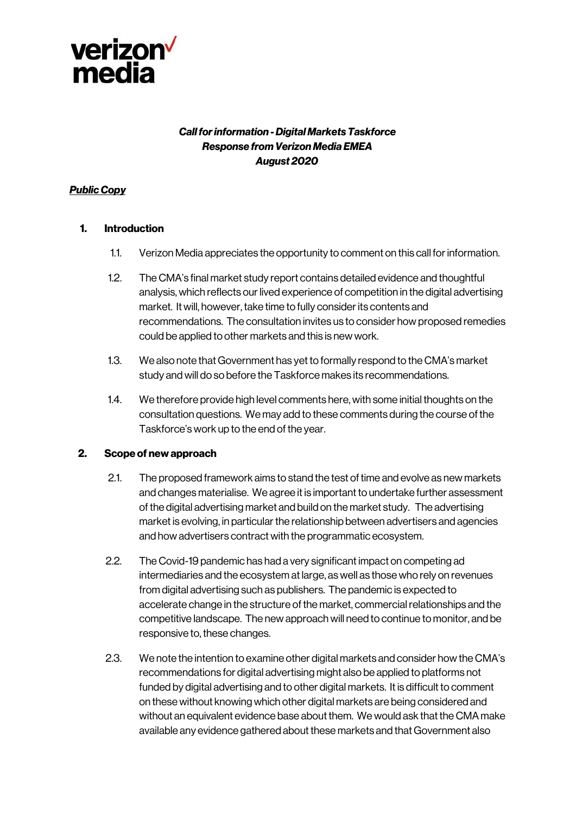

# *Call for information - Digital Markets Taskforce Response from Verizon Media EMEA August 2020*

## *Public Copy*

## **1. Introduction**

- 1.1. Verizon Media appreciates the opportunity to comment on this call for information.
- 1.2. The CMA's final market study report contains detailed evidence and thoughtful analysis, which reflects our lived experience of competition in the digital advertising market. It will, however, take time to fully consider its contents and recommendations. The consultation invites us to consider how proposed remedies could be applied to other markets and this is new work.
- 1.3. We also note that Government has yet to formally respond to the CMA's market study and will do so before the Taskforce makes its recommendations.
- 1.4. We therefore provide high level comments here, with some initial thoughts on the consultation questions. We may add to these comments during the course of the Taskforce's work up to the end of the year.

#### **2. Scope of new approach**

- 2.1. The proposed framework aims to stand the test of time and evolve as new markets and changes materialise. We agree it is important to undertake further assessment of the digital advertising market and build on the market study. The advertising market is evolving, in particular the relationship between advertisers and agencies and how advertisers contract with the programmatic ecosystem.
- 2.2. The Covid-19 pandemic has had a very significant impact on competing ad intermediaries and the ecosystem at large, as well as those who rely on revenues from digital advertising such as publishers. The pandemic is expected to accelerate change in the structure of the market, commercial relationships and the competitive landscape. The new approach will need to continue to monitor, and be responsive to, these changes.
- 2.3. We note the intention to examine other digital markets and consider how the CMA's recommendations for digital advertising might also be applied to platforms not funded by digital advertising and to other digital markets. It is difficult to comment on these without knowing which other digital markets are being considered and without an equivalent evidence base about them. We would ask that the CMA make available any evidence gathered about these markets and that Government also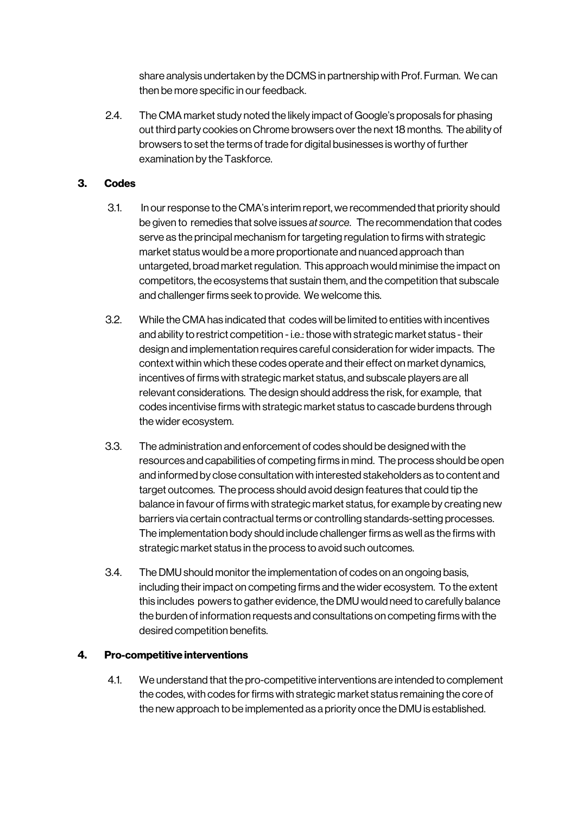share analysis undertaken by the DCMS in partnership with Prof. Furman. We can then be more specific in our feedback.

2.4. The CMA market study noted the likely impact of Google's proposals for phasing out third party cookies on Chrome browsers over the next 18 months. The ability of browsers to set the terms of trade for digital businesses is worthy of further examination by the Taskforce.

# **3. Codes**

- 3.1. In our response to the CMA's interim report, we recommended that priority should be given to remedies that solve issues *at source*. The recommendation that codes serve as the principal mechanism for targeting regulation to firms with strategic market status would be a more proportionate and nuanced approach than untargeted, broad market regulation. This approach would minimise the impact on competitors, the ecosystems that sustain them, and the competition that subscale and challenger firms seek to provide. We welcome this.
- 3.2. While the CMA has indicated that codes will be limited to entities with incentives and ability to restrict competition - i.e.: those with strategic market status - their design and implementation requires careful consideration for wider impacts. The context within which these codes operate and their effect on market dynamics, incentives of firms with strategic market status, and subscale players are all relevant considerations. The design should address the risk, for example, that codes incentivise firms with strategic market status to cascade burdens through the wider ecosystem.
- 3.3. The administration and enforcement of codes should be designed with the resources and capabilities of competing firms in mind. The process should be open and informed by close consultation with interested stakeholders as to content and target outcomes. The process should avoid design features that could tip the balance in favour of firms with strategic market status, for example by creating new barriers via certain contractual terms or controlling standards-setting processes. The implementation body should include challenger firms as well as the firms with strategic market status in the process to avoid such outcomes.
- 3.4. The DMU should monitor the implementation of codes on an ongoing basis, including their impact on competing firms and the wider ecosystem. To the extent this includes powers to gather evidence, the DMU would need to carefully balance the burden of information requests and consultations on competing firms with the desired competition benefits.

# **4. Pro-competitive interventions**

4.1. We understand that the pro-competitive interventions are intended to complement the codes, with codes for firms with strategic market status remaining the core of the new approach to be implemented as a priority once the DMU is established.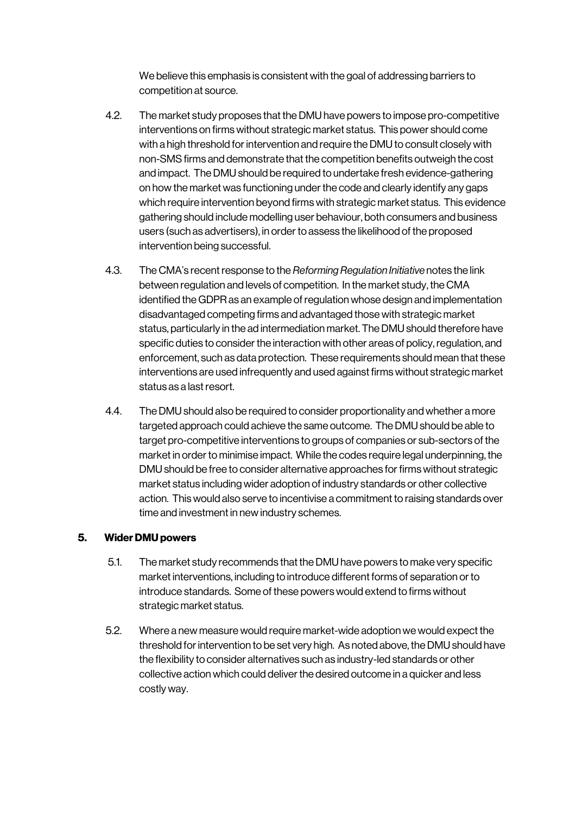We believe this emphasis is consistent with the goal of addressing barriers to competition at source.

- 4.2. The market study proposes that the DMU have powers to impose pro-competitive interventions on firms without strategic market status. This power should come with a high threshold for intervention and require the DMU to consult closely with non-SMS firms and demonstrate that the competition benefits outweigh the cost and impact. The DMU should be required to undertake fresh evidence-gathering on how the market was functioning under the code and clearly identify any gaps which require intervention beyond firms with strategic market status. This evidence gathering should include modelling user behaviour, both consumers and business users (such as advertisers), in order to assess the likelihood of the proposed intervention being successful.
- 4.3. The CMA's recent response to the *Reforming Regulation Initiative* notes the link between regulation and levels of competition. In the market study, the CMA identified the GDPR as an example of regulation whose design and implementation disadvantaged competing firms and advantaged those with strategic market status, particularly in the ad intermediation market. The DMU should therefore have specific duties to consider the interaction with other areas of policy, regulation, and enforcement, such as data protection. These requirements should mean that these interventions are used infrequently and used against firms without strategic market status as a last resort.
- 4.4. The DMU should also be required to consider proportionality and whether a more targeted approach could achieve the same outcome. The DMU should be able to target pro-competitive interventions to groups of companies or sub-sectors of the market in order to minimise impact. While the codes require legal underpinning, the DMU should be free to consider alternative approaches for firms without strategic market status including wider adoption of industry standards or other collective action. This would also serve to incentivise a commitment to raising standards over time and investment in new industry schemes.

# **5. Wider DMU powers**

- 5.1. The market study recommends that the DMU have powers to make very specific market interventions, including to introduce different forms of separation or to introduce standards. Some of these powers would extend to firms without strategic market status.
- 5.2. Where a new measure would require market-wide adoption we would expect the threshold for intervention to be set very high. As noted above, the DMU should have the flexibility to consider alternatives such as industry-led standards or other collective action which could deliver the desired outcome in a quicker and less costly way.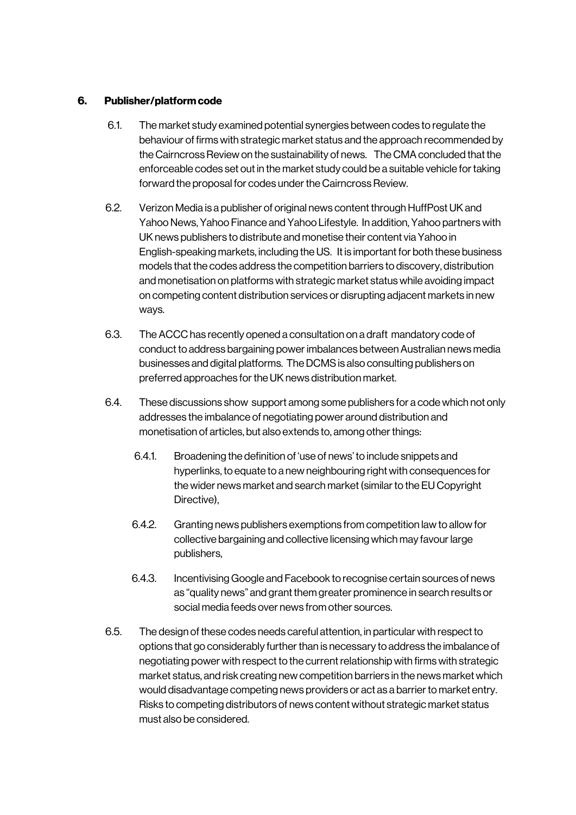## **6. Publisher/platform code**

- 6.1. The market study examined potential synergies between codes to regulate the behaviour of firms with strategic market status and the approach recommended by the Cairncross Review on the sustainability of news. The CMA concluded that the enforceable codes set out in the market study could be a suitable vehicle for taking forward the proposal for codes under the Cairncross Review.
- 6.2. Verizon Media is a publisher of original news content through HuffPost UK and Yahoo News, Yahoo Finance and Yahoo Lifestyle. In addition, Yahoo partners with UK news publishers to distribute and monetise their content via Yahoo in English-speaking markets, including the US. It is important for both these business models that the codes address the competition barriers to discovery, distribution and monetisation on platforms with strategic market status while avoiding impact on competing content distribution services or disrupting adjacent markets in new ways.
- 6.3. The ACCC has recently opened a consultation on a draft mandatory code of conduct to address bargaining power imbalances between Australian news media businesses and digital platforms. The DCMS is also consulting publishers on preferred approaches for the UK news distribution market.
- 6.4. These discussions show support among some publishers for a code which not only addresses the imbalance of negotiating power around distribution and monetisation of articles, but also extends to, among other things:
	- 6.4.1. Broadening the definition of 'use of news' to include snippets and hyperlinks, to equate to a new neighbouring right with consequences for the wider news market and search market (similar to the EU Copyright Directive),
	- 6.4.2. Granting news publishers exemptions from competition law to allow for collective bargaining and collective licensing which may favour large publishers,
	- 6.4.3. Incentivising Google and Facebook to recognise certain sources of news as "quality news" and grant them greater prominence in search results or social media feeds over news from other sources.
- 6.5. The design of these codes needs careful attention, in particular with respect to options that go considerably further than is necessary to address the imbalance of negotiating power with respect to the current relationship with firms with strategic market status, and risk creating new competition barriers in the news market which would disadvantage competing news providers or act as a barrier to market entry. Risks to competing distributors of news content without strategic market status must also be considered.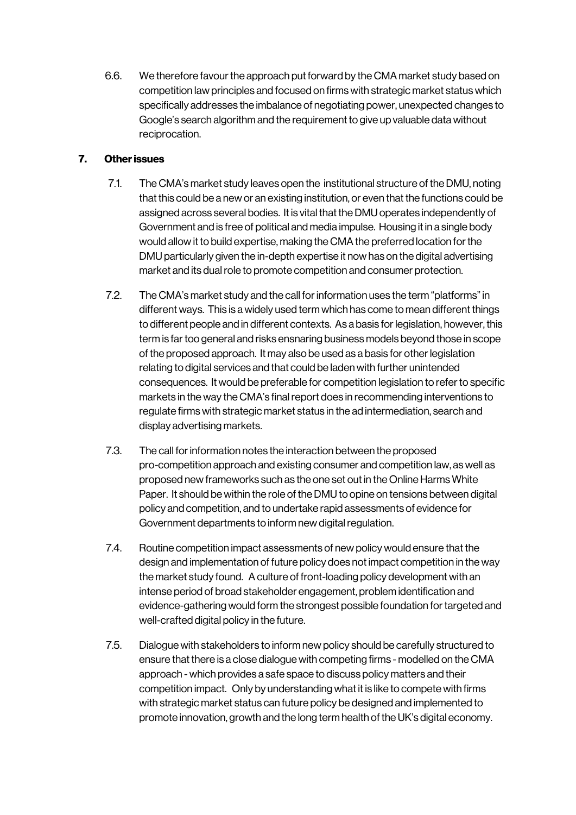6.6. We therefore favour the approach put forward by the CMA market study based on competition law principles and focused on firms with strategic market status which specifically addresses the imbalance of negotiating power, unexpected changes to Google's search algorithm and the requirement to give up valuable data without reciprocation.

# **7. Other issues**

- 7.1. The CMA's market study leaves open the institutional structure of the DMU, noting that this could be a new or an existing institution, or even that the functions could be assigned across several bodies. It is vital that the DMU operates independently of Government and is free of political and media impulse. Housing it in a single body would allow it to build expertise, making the CMA the preferred location for the DMU particularly given the in-depth expertise it now has on the digital advertising market and its dual role to promote competition and consumer protection.
- 7.2. The CMA's market study and the call for information uses the term "platforms" in different ways. This is a widely used term which has come to mean different things to different people and in different contexts. As a basis for legislation, however, this term is far too general and risks ensnaring business models beyond those in scope of the proposed approach. It may also be used as a basis for other legislation relating to digital services and that could be laden with further unintended consequences. It would be preferable for competition legislation to refer to specific markets in the way the CMA's final report does in recommending interventions to regulate firms with strategic market status in the ad intermediation, search and display advertising markets.
- 7.3. The call for information notes the interaction between the proposed pro-competition approach and existing consumer and competition law, as well as proposed new frameworks such as the one set out in the Online Harms White Paper. It should be within the role of the DMU to opine on tensions between digital policy and competition, and to undertake rapid assessments of evidence for Government departments to inform new digital regulation.
- 7.4. Routine competition impact assessments of new policy would ensure that the design and implementation of future policy does not impact competition in the way the market study found. A culture of front-loading policy development with an intense period of broad stakeholder engagement, problem identification and evidence-gathering would form the strongest possible foundation for targeted and well-crafted digital policy in the future.
- 7.5. Dialogue with stakeholders to inform new policy should be carefully structured to ensure that there is a close dialogue with competing firms - modelled on the CMA approach - which provides a safe space to discuss policy matters and their competition impact. Only by understanding what it is like to compete with firms with strategic market status can future policy be designed and implemented to promote innovation, growth and the long term health of the UK's digital economy.